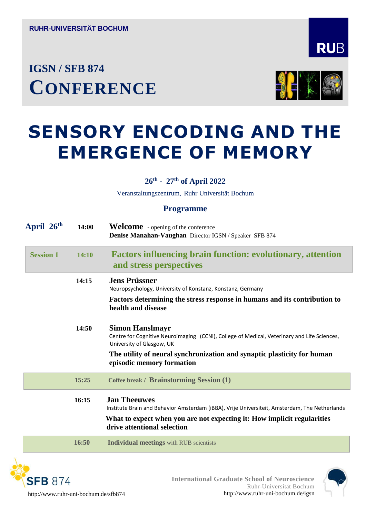## **IGSN / SFB <sup>874</sup> CONFERENCE**



# **SENSORY ENCODING AND THE EMERGENCE OF MEMORY**

#### **26th - 27th of April 2022**

Veranstaltungszentrum, Ruhr Universität Bochum

#### **Programme**

| April 26 <sup>th</sup> | 14:00        | <b>Welcome</b> - opening of the conference<br>Denise Manahan-Vaughan Director IGSN / Speaker SFB 874                                                                                                                           |
|------------------------|--------------|--------------------------------------------------------------------------------------------------------------------------------------------------------------------------------------------------------------------------------|
| <b>Session 1</b>       | <b>14:10</b> | <b>Factors influencing brain function: evolutionary, attention</b><br>and stress perspectives                                                                                                                                  |
|                        | 14:15        | <b>Jens Prüssner</b><br>Neuropsychology, University of Konstanz, Konstanz, Germany                                                                                                                                             |
|                        |              | Factors determining the stress response in humans and its contribution to<br>health and disease                                                                                                                                |
|                        | 14:50        | <b>Simon Hanslmayr</b><br>Centre for Cognitive Neuroimaging (CCNi), College of Medical, Veterinary and Life Sciences,<br>University of Glasgow, UK                                                                             |
|                        |              | The utility of neural synchronization and synaptic plasticity for human<br>episodic memory formation                                                                                                                           |
|                        | 15:25        | Coffee break / Brainstorming Session (1)                                                                                                                                                                                       |
|                        | 16:15        | <b>Jan Theeuwes</b><br>Institute Brain and Behavior Amsterdam (iBBA), Vrije Universiteit, Amsterdam, The Netherlands<br>What to expect when you are not expecting it: How implicit regularities<br>drive attentional selection |
|                        | 16:50        | <b>Individual meetings</b> with RUB scientists                                                                                                                                                                                 |





**RUB**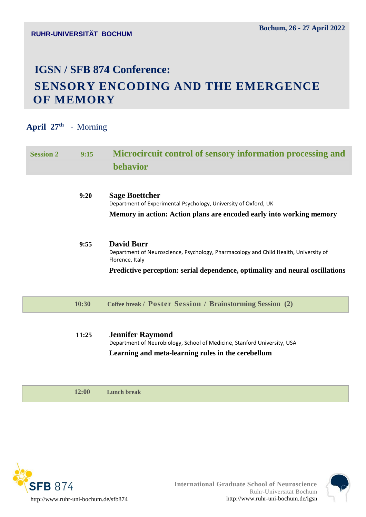### **IGSN / SFB 874 Conference: SENSORY ENCODING AND THE EMERGENCE OF MEMORY**

#### **April 27th -** Morning

| 9:15  | Microcircuit control of sensory information processing and                                                                                                       |
|-------|------------------------------------------------------------------------------------------------------------------------------------------------------------------|
|       | <b>behavior</b>                                                                                                                                                  |
| 9:20  | <b>Sage Boettcher</b><br>Department of Experimental Psychology, University of Oxford, UK<br>Memory in action: Action plans are encoded early into working memory |
| 9:55  | <b>David Burr</b><br>Department of Neuroscience, Psychology, Pharmacology and Child Health, University of<br>Florence, Italy                                     |
|       | Predictive perception: serial dependence, optimality and neural oscillations                                                                                     |
| 10:30 | Coffee break / Poster Session / Brainstorming Session (2)                                                                                                        |
|       | <b>Jennifer Raymond</b>                                                                                                                                          |
|       | 11:25                                                                                                                                                            |

Department of Neurobiology, School of Medicine, Stanford University, USA **Learning and meta-learning rules in the cerebellum** 

 **12:00 Lunch break**